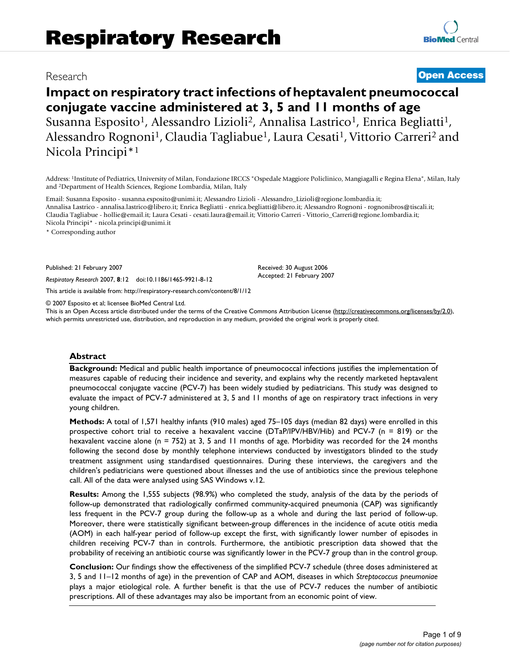## Research **[Open Access](http://www.biomedcentral.com/info/about/charter/)**

# **Impact on respiratory tract infections of heptavalent pneumococcal conjugate vaccine administered at 3, 5 and 11 months of age** Susanna Esposito<sup>1</sup>, Alessandro Lizioli<sup>2</sup>, Annalisa Lastrico<sup>1</sup>, Enrica Begliatti<sup>1</sup>, Alessandro Rognoni<sup>1</sup>, Claudia Tagliabue<sup>1</sup>, Laura Cesati<sup>1</sup>, Vittorio Carreri<sup>2</sup> and Nicola Principi\*1

Address: 1Institute of Pediatrics, University of Milan, Fondazione IRCCS "Ospedale Maggiore Policlinico, Mangiagalli e Regina Elena", Milan, Italy and 2Department of Health Sciences, Regione Lombardia, Milan, Italy

Email: Susanna Esposito - susanna.esposito@unimi.it; Alessandro Lizioli - Alessandro\_Lizioli@regione.lombardia.it; Annalisa Lastrico - annalisa.lastrico@libero.it; Enrica Begliatti - enrica.begliatti@libero.it; Alessandro Rognoni - rognonibros@tiscali.it; Claudia Tagliabue - hollie@email.it; Laura Cesati - cesati.laura@email.it; Vittorio Carreri - Vittorio\_Carreri@regione.lombardia.it; Nicola Principi\* - nicola.principi@unimi.it

\* Corresponding author

Published: 21 February 2007

*Respiratory Research* 2007, **8**:12 doi:10.1186/1465-9921-8-12

[This article is available from: http://respiratory-research.com/content/8/1/12](http://respiratory-research.com/content/8/1/12)

© 2007 Esposito et al; licensee BioMed Central Ltd.

This is an Open Access article distributed under the terms of the Creative Commons Attribution License [\(http://creativecommons.org/licenses/by/2.0\)](http://creativecommons.org/licenses/by/2.0), which permits unrestricted use, distribution, and reproduction in any medium, provided the original work is properly cited.

Received: 30 August 2006 Accepted: 21 February 2007

#### **Abstract**

**Background:** Medical and public health importance of pneumococcal infections justifies the implementation of measures capable of reducing their incidence and severity, and explains why the recently marketed heptavalent pneumococcal conjugate vaccine (PCV-7) has been widely studied by pediatricians. This study was designed to evaluate the impact of PCV-7 administered at 3, 5 and 11 months of age on respiratory tract infections in very young children.

**Methods:** A total of 1,571 healthy infants (910 males) aged 75–105 days (median 82 days) were enrolled in this prospective cohort trial to receive a hexavalent vaccine (DTaP/IPV/HBV/Hib) and PCV-7 (n = 819) or the hexavalent vaccine alone (n = 752) at 3, 5 and 11 months of age. Morbidity was recorded for the 24 months following the second dose by monthly telephone interviews conducted by investigators blinded to the study treatment assignment using standardised questionnaires. During these interviews, the caregivers and the children's pediatricians were questioned about illnesses and the use of antibiotics since the previous telephone call. All of the data were analysed using SAS Windows v.12.

**Results:** Among the 1,555 subjects (98.9%) who completed the study, analysis of the data by the periods of follow-up demonstrated that radiologically confirmed community-acquired pneumonia (CAP) was significantly less frequent in the PCV-7 group during the follow-up as a whole and during the last period of follow-up. Moreover, there were statistically significant between-group differences in the incidence of acute otitis media (AOM) in each half-year period of follow-up except the first, with significantly lower number of episodes in children receiving PCV-7 than in controls. Furthermore, the antibiotic prescription data showed that the probability of receiving an antibiotic course was significantly lower in the PCV-7 group than in the control group.

**Conclusion:** Our findings show the effectiveness of the simplified PCV-7 schedule (three doses administered at 3, 5 and 11–12 months of age) in the prevention of CAP and AOM, diseases in which *Streptococcus pneumoniae* plays a major etiological role. A further benefit is that the use of PCV-7 reduces the number of antibiotic prescriptions. All of these advantages may also be important from an economic point of view.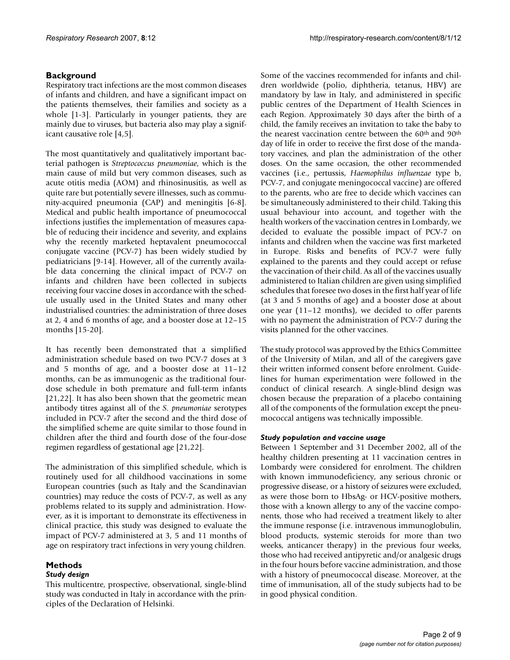### **Background**

Respiratory tract infections are the most common diseases of infants and children, and have a significant impact on the patients themselves, their families and society as a whole [1-3]. Particularly in younger patients, they are mainly due to viruses, but bacteria also may play a significant causative role [4,5].

The most quantitatively and qualitatively important bacterial pathogen is *Streptococcus pneumoniae*, which is the main cause of mild but very common diseases, such as acute otitis media (AOM) and rhinosinusitis, as well as quite rare but potentially severe illnesses, such as community-acquired pneumonia (CAP) and meningitis [6-8]. Medical and public health importance of pneumococcal infections justifies the implementation of measures capable of reducing their incidence and severity, and explains why the recently marketed heptavalent pneumococcal conjugate vaccine (PCV-7) has been widely studied by pediatricians [9-14]. However, all of the currently available data concerning the clinical impact of PCV-7 on infants and children have been collected in subjects receiving four vaccine doses in accordance with the schedule usually used in the United States and many other industrialised countries: the administration of three doses at 2, 4 and 6 months of age, and a booster dose at 12–15 months [15-20].

It has recently been demonstrated that a simplified administration schedule based on two PCV-7 doses at 3 and 5 months of age, and a booster dose at 11–12 months, can be as immunogenic as the traditional fourdose schedule in both premature and full-term infants [21,22]. It has also been shown that the geometric mean antibody titres against all of the *S. pneumoniae* serotypes included in PCV-7 after the second and the third dose of the simplified scheme are quite similar to those found in children after the third and fourth dose of the four-dose regimen regardless of gestational age [21,22].

The administration of this simplified schedule, which is routinely used for all childhood vaccinations in some European countries (such as Italy and the Scandinavian countries) may reduce the costs of PCV-7, as well as any problems related to its supply and administration. However, as it is important to demonstrate its effectiveness in clinical practice, this study was designed to evaluate the impact of PCV-7 administered at 3, 5 and 11 months of age on respiratory tract infections in very young children.

# **Methods**

#### *Study design*

This multicentre, prospective, observational, single-blind study was conducted in Italy in accordance with the principles of the Declaration of Helsinki.

Some of the vaccines recommended for infants and children worldwide (polio, diphtheria, tetanus, HBV) are mandatory by law in Italy, and administered in specific public centres of the Department of Health Sciences in each Region. Approximately 30 days after the birth of a child, the family receives an invitation to take the baby to the nearest vaccination centre between the 60<sup>th</sup> and 90<sup>th</sup> day of life in order to receive the first dose of the mandatory vaccines, and plan the administration of the other doses. On the same occasion, the other recommended vaccines (i.e., pertussis, *Haemophilus influenzae* type b, PCV-7, and conjugate meningococcal vaccine) are offered to the parents, who are free to decide which vaccines can be simultaneously administered to their child. Taking this usual behaviour into account, and together with the health workers of the vaccination centres in Lombardy, we decided to evaluate the possible impact of PCV-7 on infants and children when the vaccine was first marketed in Europe. Risks and benefits of PCV-7 were fully explained to the parents and they could accept or refuse the vaccination of their child. As all of the vaccines usually administered to Italian children are given using simplified schedules that foresee two doses in the first half year of life (at 3 and 5 months of age) and a booster dose at about one year (11–12 months), we decided to offer parents with no payment the administration of PCV-7 during the visits planned for the other vaccines.

The study protocol was approved by the Ethics Committee of the University of Milan, and all of the caregivers gave their written informed consent before enrolment. Guidelines for human experimentation were followed in the conduct of clinical research. A single-blind design was chosen because the preparation of a placebo containing all of the components of the formulation except the pneumococcal antigens was technically impossible.

#### *Study population and vaccine usage*

Between 1 September and 31 December 2002, all of the healthy children presenting at 11 vaccination centres in Lombardy were considered for enrolment. The children with known immunodeficiency, any serious chronic or progressive disease, or a history of seizures were excluded, as were those born to HbsAg- or HCV-positive mothers, those with a known allergy to any of the vaccine components, those who had received a treatment likely to alter the immune response (i.e. intravenous immunoglobulin, blood products, systemic steroids for more than two weeks, anticancer therapy) in the previous four weeks, those who had received antipyretic and/or analgesic drugs in the four hours before vaccine administration, and those with a history of pneumococcal disease. Moreover, at the time of immunisation, all of the study subjects had to be in good physical condition.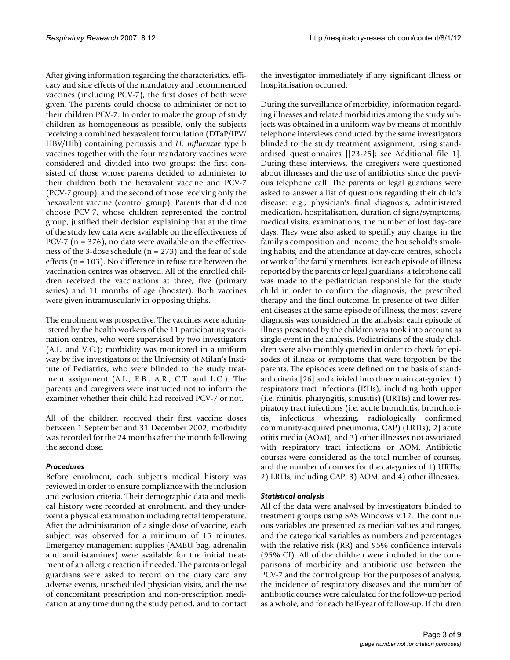After giving information regarding the characteristics, efficacy and side effects of the mandatory and recommended vaccines (including PCV-7), the first doses of both were given. The parents could choose to administer or not to their children PCV-7. In order to make the group of study children as homogeneous as possible, only the subjects receiving a combined hexavalent formulation (DTaP/IPV/ HBV/Hib) containing pertussis and *H. influenzae* type b vaccines together with the four mandatory vaccines were considered and divided into two groups: the first consisted of those whose parents decided to administer to their children both the hexavalent vaccine and PCV-7 (PCV-7 group), and the second of those receiving only the hexavalent vaccine (control group). Parents that did not choose PCV-7, whose children represented the control group, justified their decision explaining that at the time of the study few data were available on the effectiveness of PCV-7 ( $n = 376$ ), no data were available on the effectiveness of the 3-dose schedule (n = 273) and the fear of side effects ( $n = 103$ ). No difference in refuse rate between the vaccination centres was observed. All of the enrolled children received the vaccinations at three, five (primary series) and 11 months of age (booster). Both vaccines were given intramuscularly in opposing thighs.

The enrolment was prospective. The vaccines were administered by the health workers of the 11 participating vaccination centres, who were supervised by two investigators (A.L. and V.C.); morbidity was monitored in a uniform way by five investigators of the University of Milan's Institute of Pediatrics, who were blinded to the study treatment assignment (A.L., E.B., A.R., C.T. and L.C.). The parents and caregivers were instructed not to inform the examiner whether their child had received PCV-7 or not.

All of the children received their first vaccine doses between 1 September and 31 December 2002; morbidity was recorded for the 24 months after the month following the second dose.

#### *Procedures*

Before enrolment, each subject's medical history was reviewed in order to ensure compliance with the inclusion and exclusion criteria. Their demographic data and medical history were recorded at enrolment, and they underwent a physical examination including rectal temperature. After the administration of a single dose of vaccine, each subject was observed for a minimum of 15 minutes. Emergency management supplies (AMBU bag, adrenalin and antihistamines) were available for the initial treatment of an allergic reaction if needed. The parents or legal guardians were asked to record on the diary card any adverse events, unscheduled physician visits, and the use of concomitant prescription and non-prescription medication at any time during the study period, and to contact

the investigator immediately if any significant illness or hospitalisation occurred.

During the surveillance of morbidity, information regarding illnesses and related morbidities among the study subjects was obtained in a uniform way by means of monthly telephone interviews conducted, by the same investigators blinded to the study treatment assignment, using standardised questionnaires [[23-25]; see Additional file 1]. During these interviews, the caregivers were questioned about illnesses and the use of antibiotics since the previous telephone call. The parents or legal guardians were asked to answer a list of questions regarding their child's disease: e.g., physician's final diagnosis, administered medication, hospitalisation, duration of signs/symptoms, medical visits, examinations, the number of lost day-care days. They were also asked to specifiy any change in the family's composition and income, the household's smoking habits, and the attendance at day-care centres, schools or work of the family members. For each episode of illness reported by the parents or legal guardians, a telephone call was made to the pediatrician responsible for the study child in order to confirm the diagnosis, the prescribed therapy and the final outcome. In presence of two different diseases at the same episode of illness, the most severe diagnosis was considered in the analysis; each episode of illness presented by the children was took into account as single event in the analysis. Pediatricians of the study children were also monthly queried in order to check for episodes of illness or symptoms that were forgotten by the parents. The episodes were defined on the basis of standard criteria [26] and divided into three main categories: 1) respiratory tract infections (RTIs), including both upper (i.e. rhinitis, pharyngitis, sinusitis) (URTIs) and lower respiratory tract infections (i.e. acute bronchitis, bronchiolitis, infectious wheezing, radiologically confirmed community-acquired pneumonia, CAP) (LRTIs); 2) acute otitis media (AOM); and 3) other illnesses not associated with respiratory tract infections or AOM. Antibiotic courses were considered as the total number of courses, and the number of courses for the categories of 1) URTIs; 2) LRTIs, including CAP; 3) AOM; and 4) other illnesses.

#### *Statistical analysis*

All of the data were analysed by investigators blinded to treatment groups using SAS Windows v.12. The continuous variables are presented as median values and ranges, and the categorical variables as numbers and percentages with the relative risk (RR) and 95% confidence intervals (95% CI). All of the children were included in the comparisons of morbidity and antibiotic use between the PCV-7 and the control group. For the purposes of analysis, the incidence of respiratory diseases and the number of antibiotic courses were calculated for the follow-up period as a whole, and for each half-year of follow-up. If children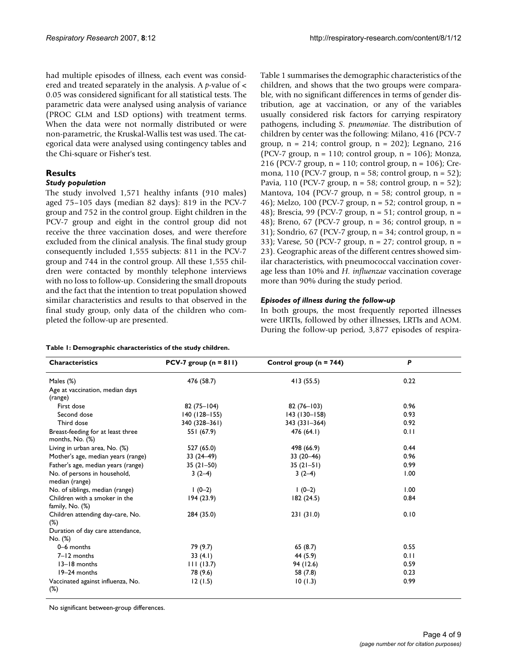had multiple episodes of illness, each event was considered and treated separately in the analysis. A *p*-value of < 0.05 was considered significant for all statistical tests. The parametric data were analysed using analysis of variance (PROC GLM and LSD options) with treatment terms. When the data were not normally distributed or were non-parametric, the Kruskal-Wallis test was used. The categorical data were analysed using contingency tables and the Chi-square or Fisher's test.

#### **Results**

#### *Study population*

The study involved 1,571 healthy infants (910 males) aged 75–105 days (median 82 days): 819 in the PCV-7 group and 752 in the control group. Eight children in the PCV-7 group and eight in the control group did not receive the three vaccination doses, and were therefore excluded from the clinical analysis. The final study group consequently included 1,555 subjects: 811 in the PCV-7 group and 744 in the control group. All these 1,555 children were contacted by monthly telephone interviews with no loss to follow-up. Considering the small dropouts and the fact that the intention to treat population showed similar characteristics and results to that observed in the final study group, only data of the children who completed the follow-up are presented.

**Table 1: Demographic characteristics of the study children.**

Table 1 summarises the demographic characteristics of the children, and shows that the two groups were comparable, with no significant differences in terms of gender distribution, age at vaccination, or any of the variables usually considered risk factors for carrying respiratory pathogens, including *S. pneumoniae*. The distribution of children by center was the following: Milano, 416 (PCV-7 group,  $n = 214$ ; control group,  $n = 202$ ); Legnano, 216 (PCV-7 group,  $n = 110$ ; control group,  $n = 106$ ); Monza, 216 (PCV-7 group, n = 110; control group, n = 106); Cremona, 110 (PCV-7 group,  $n = 58$ ; control group,  $n = 52$ ); Pavia, 110 (PCV-7 group,  $n = 58$ ; control group,  $n = 52$ ); Mantova, 104 (PCV-7 group,  $n = 58$ ; control group,  $n =$ 46); Melzo, 100 (PCV-7 group, n = 52; control group, n = 48); Brescia, 99 (PCV-7 group, n = 51; control group, n = 48); Breno, 67 (PCV-7 group, n = 36; control group, n = 31); Sondrio, 67 (PCV-7 group, n = 34; control group, n = 33); Varese, 50 (PCV-7 group, n = 27; control group, n = 23). Geographic areas of the different centres showed similar characteristics, with pneumococcal vaccination coverage less than 10% and *H. influenzae* vaccination coverage more than 90% during the study period.

#### *Episodes of illness during the follow-up*

In both groups, the most frequently reported illnesses were URTIs, followed by other illnesses, LRTIs and AOM. During the follow-up period, 3,877 episodes of respira-

| <b>Characteristics</b>                                 | PCV-7 group $(n = 811)$ | Control group ( $n = 744$ ) | P    |
|--------------------------------------------------------|-------------------------|-----------------------------|------|
| Males $(\%)$                                           | 476 (58.7)              | 413 (55.5)                  | 0.22 |
| Age at vaccination, median days<br>(range)             |                         |                             |      |
| First dose                                             | $82(75 - 104)$          | $82(76 - 103)$              | 0.96 |
| Second dose                                            | $140(128 - 155)$        | $143(130 - 158)$            | 0.93 |
| Third dose                                             | 340 (328-361)           | 343 (331-364)               | 0.92 |
| Breast-feeding for at least three<br>months, $No.$ $%$ | 551 (67.9)              | 476(64.1)                   | 0.11 |
| Living in urban area, No. (%)                          | 527 (65.0)              | 498 (66.9)                  | 0.44 |
| Mother's age, median years (range)                     | $33(24-49)$             | $33(20-46)$                 | 0.96 |
| Father's age, median years (range)                     | $35(21-50)$             | $35(21-51)$                 | 0.99 |
| No. of persons in household,<br>median (range)         | $3(2-4)$                | $3(2-4)$                    | 1.00 |
| No. of siblings, median (range)                        | $1(0-2)$                | $1(0-2)$                    | 1.00 |
| Children with a smoker in the<br>family, $No.$ $(\%)$  | 194(23.9)               | 182(24.5)                   | 0.84 |
| Children attending day-care, No.<br>$(\%)$             | 284 (35.0)              | 231(31.0)                   | 0.10 |
| Duration of day care attendance,<br>No. (%)            |                         |                             |      |
| 0-6 months                                             | 79 (9.7)                | 65(8.7)                     | 0.55 |
| $7 - 12$ months                                        | 33(4.1)                 | 44 (5.9)                    | 0.11 |
| 13-18 months                                           | 111(13.7)               | 94 (12.6)                   | 0.59 |
| 19-24 months                                           | 78 (9.6)                | 58 (7.8)                    | 0.23 |
| Vaccinated against influenza, No.<br>$(\%)$            | 12(1.5)                 | 10(1.3)                     | 0.99 |

No significant between-group differences.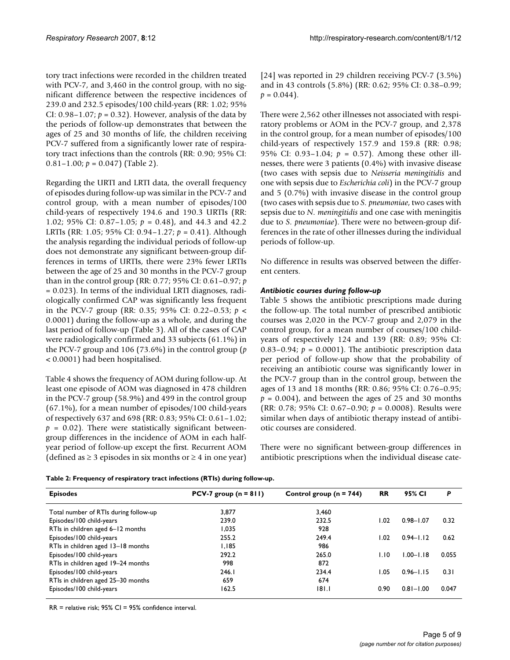tory tract infections were recorded in the children treated with PCV-7, and 3,460 in the control group, with no significant difference between the respective incidences of 239.0 and 232.5 episodes/100 child-years (RR: 1.02; 95% CI:  $0.98-1.07$ ;  $p = 0.32$ ). However, analysis of the data by the periods of follow-up demonstrates that between the ages of 25 and 30 months of life, the children receiving PCV-7 suffered from a significantly lower rate of respiratory tract infections than the controls (RR: 0.90; 95% CI: 0.81–1.00;  $p = 0.047$ ) (Table 2).

Regarding the URTI and LRTI data, the overall frequency of episodes during follow-up was similar in the PCV-7 and control group, with a mean number of episodes/100 child-years of respectively 194.6 and 190.3 URTIs (RR: 1.02; 95% CI: 0.87–1.05; *p* = 0.48), and 44.3 and 42.2 LRTIs (RR: 1.05; 95% CI: 0.94–1.27; *p* = 0.41). Although the analysis regarding the individual periods of follow-up does not demonstrate any significant between-group differences in terms of URTIs, there were 23% fewer LRTIs between the age of 25 and 30 months in the PCV-7 group than in the control group (RR: 0.77; 95% CI: 0.61–0.97; *p* = 0.023). In terms of the individual LRTI diagnoses, radiologically confirmed CAP was significantly less frequent in the PCV-7 group (RR: 0.35; 95% CI: 0.22–0.53; *p* < 0.0001) during the follow-up as a whole, and during the last period of follow-up (Table 3). All of the cases of CAP were radiologically confirmed and 33 subjects (61.1%) in the PCV-7 group and 106 (73.6%) in the control group (*p* < 0.0001) had been hospitalised.

Table 4 shows the frequency of AOM during follow-up. At least one episode of AOM was diagnosed in 478 children in the PCV-7 group (58.9%) and 499 in the control group (67.1%), for a mean number of episodes/100 child-years of respectively 637 and 698 (RR: 0.83; 95% CI: 0.61–1.02;  $p = 0.02$ ). There were statistically significant betweengroup differences in the incidence of AOM in each halfyear period of follow-up except the first. Recurrent AOM (defined as  $\geq$  3 episodes in six months or  $\geq$  4 in one year) [24] was reported in 29 children receiving PCV-7 (3.5%) and in 43 controls (5.8%) (RR: 0.62; 95% CI: 0.38–0.99;  $p = 0.044$ .

There were 2,562 other illnesses not associated with respiratory problems or AOM in the PCV-7 group, and 2,378 in the control group, for a mean number of episodes/100 child-years of respectively 157.9 and 159.8 (RR: 0.98; 95% CI: 0.93–1.04;  $p = 0.57$ ). Among these other illnesses, there were 3 patients (0.4%) with invasive disease (two cases with sepsis due to *Neisseria meningitidis* and one with sepsis due to *Escherichia coli*) in the PCV-7 group and 5 (0.7%) with invasive disease in the control group (two cases with sepsis due to *S. pneumoniae*, two cases with sepsis due to *N. meningitidis* and one case with meningitis due to *S. pneumoniae*). There were no between-group differences in the rate of other illnesses during the individual periods of follow-up.

No difference in results was observed between the different centers.

#### *Antibiotic courses during follow-up*

Table 5 shows the antibiotic prescriptions made during the follow-up. The total number of prescribed antibiotic courses was 2,020 in the PCV-7 group and 2,079 in the control group, for a mean number of courses/100 childyears of respectively 124 and 139 (RR: 0.89; 95% CI: 0.83–0.94;  $p = 0.0001$ ). The antibiotic prescription data per period of follow-up show that the probability of receiving an antibiotic course was significantly lower in the PCV-7 group than in the control group, between the ages of 13 and 18 months (RR: 0.86; 95% CI: 0.76–0.95;  $p = 0.004$ ), and between the ages of 25 and 30 months (RR: 0.78; 95% CI: 0.67–0.90; *p* = 0.0008). Results were similar when days of antibiotic therapy instead of antibiotic courses are considered.

There were no significant between-group differences in antibiotic prescriptions when the individual disease cate-

| Table 2: Frequency of respiratory tract infections (RTIs) during follow-up. |  |  |
|-----------------------------------------------------------------------------|--|--|
|                                                                             |  |  |

| <b>Episodes</b>                       | PCV-7 group $(n = 811)$ | Control group ( $n = 744$ ) | <b>RR</b> | 95% CI        | P     |
|---------------------------------------|-------------------------|-----------------------------|-----------|---------------|-------|
| Total number of RTIs during follow-up | 3.877                   | 3.460                       |           |               |       |
| Episodes/100 child-years              | 239.0                   | 232.5                       | 1.02      | $0.98 - 1.07$ | 0.32  |
| RTIs in children aged 6-12 months     | 1.035                   | 928                         |           |               |       |
| Episodes/100 child-years              | 255.2                   | 249.4                       | 1.02      | $0.94 - 1.12$ | 0.62  |
| RTIs in children aged 13-18 months    | 1.185                   | 986                         |           |               |       |
| Episodes/100 child-years              | 292.2                   | 265.0                       | 1.10      | $1.00 - 1.18$ | 0.055 |
| RTIs in children aged 19-24 months    | 998                     | 872                         |           |               |       |
| Episodes/100 child-years              | 246.1                   | 234.4                       | 1.05      | $0.96 - 1.15$ | 0.31  |
| RTIs in children aged 25-30 months    | 659                     | 674                         |           |               |       |
| Episodes/100 child-years              | 162.5                   | 181.1                       | 0.90      | $0.81 - 1.00$ | 0.047 |

RR = relative risk; 95% CI = 95% confidence interval.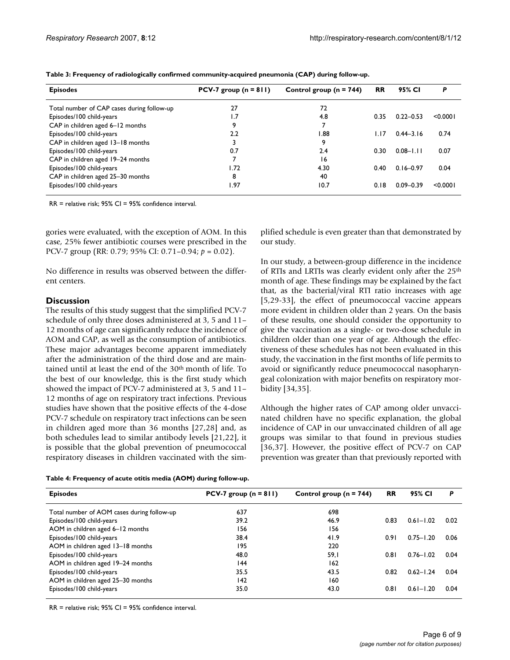| <b>Episodes</b>                            | PCV-7 group $(n = 811)$ | Control group ( $n = 744$ ) | <b>RR</b> | 95% CI        | P        |
|--------------------------------------------|-------------------------|-----------------------------|-----------|---------------|----------|
| Total number of CAP cases during follow-up | 27                      | 72                          |           |               |          |
| Episodes/100 child-years                   | 1.7                     | 4.8                         | 0.35      | $0.22 - 0.53$ | < 0.0001 |
| CAP in children aged 6-12 months           | 9                       |                             |           |               |          |
| Episodes/100 child-years                   | 2.2                     | 1.88                        | 1.17      | $0.44 - 3.16$ | 0.74     |
| CAP in children aged 13-18 months          |                         | 9                           |           |               |          |
| Episodes/100 child-years                   | 0.7                     | 2.4                         | 0.30      | $0.08 - 1.11$ | 0.07     |
| CAP in children aged 19-24 months          |                         | 16                          |           |               |          |
| Episodes/100 child-years                   | 1.72                    | 4.30                        | 0.40      | $0.16 - 0.97$ | 0.04     |
| CAP in children aged 25-30 months          | 8                       | 40                          |           |               |          |
| Episodes/100 child-years                   | 1.97                    | 10.7                        | 0.18      | $0.09 - 0.39$ | < 0.0001 |

**Table 3: Frequency of radiologically confirmed community-acquired pneumonia (CAP) during follow-up.**

RR = relative risk; 95% CI = 95% confidence interval.

gories were evaluated, with the exception of AOM. In this case, 25% fewer antibiotic courses were prescribed in the PCV-7 group (RR: 0.79; 95% CI: 0.71–0.94; *p* = 0.02).

No difference in results was observed between the different centers.

#### **Discussion**

The results of this study suggest that the simplified PCV-7 schedule of only three doses administered at 3, 5 and 11– 12 months of age can significantly reduce the incidence of AOM and CAP, as well as the consumption of antibiotics. These major advantages become apparent immediately after the administration of the third dose and are maintained until at least the end of the 30th month of life. To the best of our knowledge, this is the first study which showed the impact of PCV-7 administered at 3, 5 and 11– 12 months of age on respiratory tract infections. Previous studies have shown that the positive effects of the 4-dose PCV-7 schedule on respiratory tract infections can be seen in children aged more than 36 months [27,28] and, as both schedules lead to similar antibody levels [21,22], it is possible that the global prevention of pneumococcal respiratory diseases in children vaccinated with the simplified schedule is even greater than that demonstrated by our study.

In our study, a between-group difference in the incidence of RTIs and LRTIs was clearly evident only after the 25th month of age. These findings may be explained by the fact that, as the bacterial/viral RTI ratio increases with age [5,29-33], the effect of pneumococcal vaccine appears more evident in children older than 2 years. On the basis of these results, one should consider the opportunity to give the vaccination as a single- or two-dose schedule in children older than one year of age. Although the effectiveness of these schedules has not been evaluated in this study, the vaccination in the first months of life permits to avoid or significantly reduce pneumococcal nasopharyngeal colonization with major benefits on respiratory morbidity [34,35].

Although the higher rates of CAP among older unvaccinated children have no specific explanation, the global incidence of CAP in our unvaccinated children of all age groups was similar to that found in previous studies [36,37]. However, the positive effect of PCV-7 on CAP prevention was greater than that previously reported with

**Table 4: Frequency of acute otitis media (AOM) during follow-up.**

| <b>Episodes</b>                            | PCV-7 group $(n = 811)$ | Control group ( $n = 744$ ) | <b>RR</b> | 95% CI        | P    |
|--------------------------------------------|-------------------------|-----------------------------|-----------|---------------|------|
| Total number of AOM cases during follow-up | 637                     | 698                         |           |               |      |
| Episodes/100 child-years                   | 39.2                    | 46.9                        | 0.83      | $0.61 - 1.02$ | 0.02 |
| AOM in children aged 6-12 months           | 156                     | 156                         |           |               |      |
| Episodes/100 child-years                   | 38.4                    | 41.9                        | 0.91      | $0.75 - 1.20$ | 0.06 |
| AOM in children aged 13-18 months          | 195                     | 220                         |           |               |      |
| Episodes/100 child-years                   | 48.0                    | 59, I                       | 0.81      | $0.76 - 1.02$ | 0.04 |
| AOM in children aged 19-24 months          | 144                     | 162                         |           |               |      |
| Episodes/100 child-years                   | 35.5                    | 43.5                        | 0.82      | $0.62 - 1.24$ | 0.04 |
| AOM in children aged 25-30 months          | 142                     | 160                         |           |               |      |
| Episodes/100 child-years                   | 35.0                    | 43.0                        | 0.81      | $0.61 - 1.20$ | 0.04 |

RR = relative risk; 95% CI = 95% confidence interval.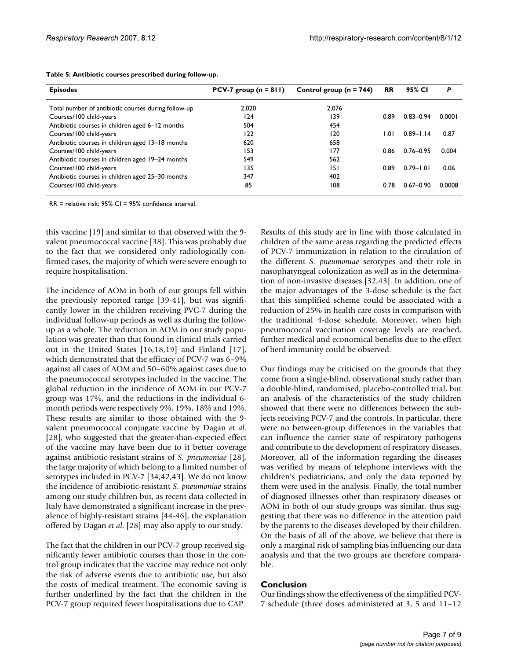| <b>Episodes</b>                                     | PCV-7 group $(n = 811)$ | Control group ( $n = 744$ ) | <b>RR</b> | 95% CI        | P      |
|-----------------------------------------------------|-------------------------|-----------------------------|-----------|---------------|--------|
| Total number of antibiotic courses during follow-up | 2.020                   | 2.076                       |           |               |        |
| Courses/100 child-years                             | 124                     | 139                         | 0.89      | $0.83 - 0.94$ | 0.0001 |
| Antibiotic courses in children aged 6-12 months     | 504                     | 454                         |           |               |        |
| Courses/100 child-years                             | 122                     | 120                         | ا ۱.۵     | $0.89 - 1.14$ | 0.87   |
| Antibiotic courses in children aged 13-18 months    | 620                     | 658                         |           |               |        |
| Courses/100 child-years                             | 153                     | 177                         | 0.86      | $0.76 - 0.95$ | 0.004  |
| Antibiotic courses in children aged 19-24 months    | 549                     | 562                         |           |               |        |
| Courses/100 child-years                             | 135                     | 151                         | 0.89      | $0.79 - 1.01$ | 0.06   |
| Antibiotic courses in children aged 25-30 months    | 347                     | 402                         |           |               |        |
| Courses/100 child-years                             | 85                      | 108                         | 0.78      | $0.67 - 0.90$ | 0.0008 |

**Table 5: Antibiotic courses prescribed during follow-up.**

RR = relative risk; 95% CI = 95% confidence interval.

this vaccine [19] and similar to that observed with the 9 valent pneumococcal vaccine [38]. This was probably due to the fact that we considered only radiologically confirmed cases, the majority of which were severe enough to require hospitalisation.

The incidence of AOM in both of our groups fell within the previously reported range [39-41], but was significantly lower in the children receiving PVC-7 during the individual follow-up periods as well as during the followup as a whole. The reduction in AOM in our study population was greater than that found in clinical trials carried out in the United States [16,18,19] and Finland [17], which demonstrated that the efficacy of PCV-7 was 6–9% against all cases of AOM and 50–60% against cases due to the pneumococcal serotypes included in the vaccine. The global reduction in the incidence of AOM in our PCV-7 group was 17%, and the reductions in the individual 6 month periods were respectively 9%, 19%, 18% and 19%. These results are similar to those obtained with the 9 valent pneumococcal conjugate vaccine by Dagan *et al*. [28], who suggested that the greater-than-expected effect of the vaccine may have been due to it better coverage against antibiotic-resistant strains of *S. pneumoniae* [28], the large majority of which belong to a limited number of serotypes included in PCV-7 [34,42,[43](#page-8-0)]. We do not know the incidence of antibiotic-resistant *S. pneumoniae* strains among our study children but, as recent data collected in Italy have demonstrated a significant increase in the prevalence of highly-resistant strains [[44-](#page-8-1)46], the explanation offered by Dagan *et al*. [28] may also apply to our study.

The fact that the children in our PCV-7 group received significantly fewer antibiotic courses than those in the control group indicates that the vaccine may reduce not only the risk of adverse events due to antibiotic use, but also the costs of medical treatment. The economic saving is further underlined by the fact that the children in the PCV-7 group required fewer hospitalisations due to CAP.

Results of this study are in line with those calculated in children of the same areas regarding the predicted effects of PCV-7 immunization in relation to the circulation of the different *S. pneumoniae* serotypes and their role in nasopharyngeal colonization as well as in the determination of non-invasive diseases [32[,43](#page-8-0)]. In addition, one of the major advantages of the 3-dose schedule is the fact that this simplified scheme could be associated with a reduction of 25% in health care costs in comparison with the traditional 4-dose schedule. Moreover, when high pneumococcal vaccination coverage levels are reached, further medical and economical benefits due to the effect of herd immunity could be observed.

Our findings may be criticised on the grounds that they come from a single-blind, observational study rather than a double-blind, randomised, placebo-controlled trial, but an analysis of the characteristics of the study children showed that there were no differences between the subjects receiving PCV-7 and the controls. In particular, there were no between-group differences in the variables that can influence the carrier state of respiratory pathogens and contribute to the development of respiratory diseases. Moreover, all of the information regarding the diseases was verified by means of telephone interviews with the children's pediatricians, and only the data reported by them were used in the analysis. Finally, the total number of diagnosed illnesses other than respiratory diseases or AOM in both of our study groups was similar, thus suggesting that there was no difference in the attention paid by the parents to the diseases developed by their children. On the basis of all of the above, we believe that there is only a marginal risk of sampling bias influencing our data analysis and that the two groups are therefore comparable.

#### **Conclusion**

Our findings show the effectiveness of the simplified PCV-7 schedule (three doses administered at 3, 5 and 11–12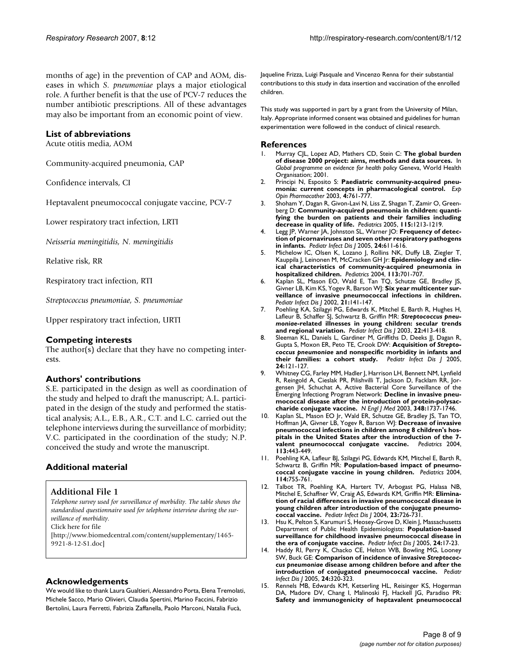months of age) in the prevention of CAP and AOM, diseases in which *S. pneumoniae* plays a major etiological role. A further benefit is that the use of PCV-7 reduces the number antibiotic prescriptions. All of these advantages may also be important from an economic point of view.

#### **List of abbreviations**

Acute otitis media, AOM

Community-acquired pneumonia, CAP

Confidence intervals, CI

Heptavalent pneumococcal conjugate vaccine, PCV-7

Lower respiratory tract infection, LRTI

*Neisseria meningitidis, N. meningitidis*

Relative risk, RR

Respiratory tract infection, RTI

*Streptococcus pneumoniae, S. pneumoniae*

Upper respiratory tract infection, URTI

#### **Competing interests**

The author(s) declare that they have no competing interests.

#### **Authors' contributions**

S.E. participated in the design as well as coordination of the study and helped to draft the manuscript; A.L. participated in the design of the study and performed the statistical analysis; A.L., E.B., A.R., C.T. and L.C. carried out the telephone interviews during the surveillance of morbidity; V.C. participated in the coordination of the study; N.P. conceived the study and wrote the manuscript.

#### **Additional material**

#### **Additional File 1**

*Telephone survey used for surveillance of morbidity. The table shows the standardised questionnaire used for telephone interview during the surveillance of morbidity.*

Click here for file

[\[http://www.biomedcentral.com/content/supplementary/1465-](http://www.biomedcentral.com/content/supplementary/1465-9921-8-12-S1.doc) 9921-8-12-S1.doc]

#### **Acknowledgements**

We would like to thank Laura Gualtieri, Alessandro Porta, Elena Tremolati, Michele Sacco, Mario Olivieri, Claudia Spertini, Marino Faccini, Fabrizio Bertolini, Laura Ferretti, Fabrizia Zaffanella, Paolo Marconi, Natalia Fucà,

Jaqueline Frizza, Luigi Pasquale and Vincenzo Renna for their substantial contributions to this study in data insertion and vaccination of the enrolled children.

This study was supported in part by a grant from the University of Milan, Italy. Appropriate informed consent was obtained and guidelines for human experimentation were followed in the conduct of clinical research.

#### **References**

- 1. Murray CJL, Lopez AD, Mathers CD, Stein C: **The global burden of disease 2000 project: aims, methods and data sources.** In *Global programme on evidence for health policy* Geneva, World Health Organisation; 2001.
- 2. Principi N, Esposito S: **Paediatric community-acquired pneumonia: current concepts in pharmacological control.** *Exp Opin Pharmacother* 2003, **4:**761-777.
- 3. Shoham Y, Dagan R, Givon-Lavi N, Liss Z, Shagan T, Zamir O, Greenberg D: **[Community-acquired pneumonia in children: quanti](http://www.ncbi.nlm.nih.gov/entrez/query.fcgi?cmd=Retrieve&db=PubMed&dopt=Abstract&list_uids=15867027)[fying the burden on patients and their families including](http://www.ncbi.nlm.nih.gov/entrez/query.fcgi?cmd=Retrieve&db=PubMed&dopt=Abstract&list_uids=15867027) [decrease in quality of life.](http://www.ncbi.nlm.nih.gov/entrez/query.fcgi?cmd=Retrieve&db=PubMed&dopt=Abstract&list_uids=15867027)** *Pediatrics* 2005, **115:**1213-1219.
- 4. Legg JP, Warner JA, Johnston SL, Warner JO: **[Frequency of detec](http://www.ncbi.nlm.nih.gov/entrez/query.fcgi?cmd=Retrieve&db=PubMed&dopt=Abstract&list_uids=15999002)[tion of picornaviruses and seven other respiratory pathogens](http://www.ncbi.nlm.nih.gov/entrez/query.fcgi?cmd=Retrieve&db=PubMed&dopt=Abstract&list_uids=15999002) [in infants.](http://www.ncbi.nlm.nih.gov/entrez/query.fcgi?cmd=Retrieve&db=PubMed&dopt=Abstract&list_uids=15999002)** *Pediatr Infect Dis J* 2005, **24:**611-616.
- 5. Michelow IC, Olsen K, Lozano J, Rollins NK, Duffy LB, Ziegler T, Kauppila J, Leinonen M, McCracken GH Jr: **[Epidemiology and clin](http://www.ncbi.nlm.nih.gov/entrez/query.fcgi?cmd=Retrieve&db=PubMed&dopt=Abstract&list_uids=15060215)[ical characteristics of community-acquired pneumonia in](http://www.ncbi.nlm.nih.gov/entrez/query.fcgi?cmd=Retrieve&db=PubMed&dopt=Abstract&list_uids=15060215) [hospitalized children.](http://www.ncbi.nlm.nih.gov/entrez/query.fcgi?cmd=Retrieve&db=PubMed&dopt=Abstract&list_uids=15060215)** *Pediatrics* 2004, **113:**701-707.
- 6. Kaplan SL, Mason EO, Wald E, Tan TQ, Schutze GE, Bradley JS, Givner LB, Kim KS, Yogev R, Barson WJ: **[Six year multicenter sur](http://www.ncbi.nlm.nih.gov/entrez/query.fcgi?cmd=Retrieve&db=PubMed&dopt=Abstract&list_uids=11840082)[veillance of invasive pneumococcal infections in children.](http://www.ncbi.nlm.nih.gov/entrez/query.fcgi?cmd=Retrieve&db=PubMed&dopt=Abstract&list_uids=11840082)** *Pediatr Infect Dis J* 2002, **21:**141-147.
- 7. Poehling KA, Szilagyi PG, Edwards K, Mitchel E, Barth R, Hughes H, Lafleur B, Schaffer SJ, Schwartz B, Griffin MR: *Streptococcus pneumoniae***[-related illnesses in young children: secular trends](http://www.ncbi.nlm.nih.gov/entrez/query.fcgi?cmd=Retrieve&db=PubMed&dopt=Abstract&list_uids=12792380) [and regional variation.](http://www.ncbi.nlm.nih.gov/entrez/query.fcgi?cmd=Retrieve&db=PubMed&dopt=Abstract&list_uids=12792380)** *Pediatr Infect Dis J* 2003, **22:**413-418.
- 8. Sleeman KL, Daniels L, Gardiner M, Griffiths D, Deeks JJ, Dagan R, Gupta S, Moxon ER, Peto TE, Crook DW: **Acquisition of** *Streptococcus pneumoniae* **[and nonspecific morbidity in infants and](http://www.ncbi.nlm.nih.gov/entrez/query.fcgi?cmd=Retrieve&db=PubMed&dopt=Abstract&list_uids=15702039) [their families: a cohort study.](http://www.ncbi.nlm.nih.gov/entrez/query.fcgi?cmd=Retrieve&db=PubMed&dopt=Abstract&list_uids=15702039)** *Pediatr Infect Dis J* 2005, **24:**121-127.
- 9. Whitney CG, Farley MM, Hadler J, Harrison LH, Bennett NM, Lynfield R, Reingold A, Cieslak PR, Pilishvilli T, Jackson D, Facklam RR, Jorgensen JH, Schuchat A, Active Bacterial Core Surveillance of the Emerging Infectiong Program Network: **[Decline in invasive pneu](http://www.ncbi.nlm.nih.gov/entrez/query.fcgi?cmd=Retrieve&db=PubMed&dopt=Abstract&list_uids=12724479)[mococcal disease after the introduction of protein-polysac](http://www.ncbi.nlm.nih.gov/entrez/query.fcgi?cmd=Retrieve&db=PubMed&dopt=Abstract&list_uids=12724479)[charide conjugate vaccine.](http://www.ncbi.nlm.nih.gov/entrez/query.fcgi?cmd=Retrieve&db=PubMed&dopt=Abstract&list_uids=12724479)** *N Engl J Med* 2003, **348:**1737-1746.
- 10. Kaplan SL, Mason EO Jr, Wald ER, Schutze GE, Bradley JS, Tan TO, Hoffman JA, Givner LB, Yogev R, Barson WJ: **[Decrease of invasive](http://www.ncbi.nlm.nih.gov/entrez/query.fcgi?cmd=Retrieve&db=PubMed&dopt=Abstract&list_uids=14993532) pneumococcal infections in children among 8 children's hos[pitals in the United States after the introduction of the 7](http://www.ncbi.nlm.nih.gov/entrez/query.fcgi?cmd=Retrieve&db=PubMed&dopt=Abstract&list_uids=14993532) [valent pneumococcal conjugate vaccine.](http://www.ncbi.nlm.nih.gov/entrez/query.fcgi?cmd=Retrieve&db=PubMed&dopt=Abstract&list_uids=14993532)** *Pediatrics* 2004, **113:**443-449.
- 11. Poehling KA, Lafleur BJ, Szilagyi PG, Edwards KM, Mitchel E, Barth R, Schwartz B, Griffin MR: **[Population-based impact of pneumo](http://www.ncbi.nlm.nih.gov/entrez/query.fcgi?cmd=Retrieve&db=PubMed&dopt=Abstract&list_uids=15342850)[coccal conjugate vaccine in young children.](http://www.ncbi.nlm.nih.gov/entrez/query.fcgi?cmd=Retrieve&db=PubMed&dopt=Abstract&list_uids=15342850)** *Pediatrics* 2004, **114:**755-761.
- 12. Talbot TR, Poehling KA, Hartert TV, Arbogast PG, Halasa NB, Mitchel E, Schaffner W, Craig AS, Edwards KM, Griffin MR: **[Elimina](http://www.ncbi.nlm.nih.gov/entrez/query.fcgi?cmd=Retrieve&db=PubMed&dopt=Abstract&list_uids=15295222)tion of racial differences in invasive pneumococcal disease in [young children after introduction of the conjugate pneumo](http://www.ncbi.nlm.nih.gov/entrez/query.fcgi?cmd=Retrieve&db=PubMed&dopt=Abstract&list_uids=15295222)[coccal vaccine.](http://www.ncbi.nlm.nih.gov/entrez/query.fcgi?cmd=Retrieve&db=PubMed&dopt=Abstract&list_uids=15295222)** *Pediatr Infect Dis J* 2004, **23:**726-731.
- 13. Hsu K, Pelton S, Karumuri S, Heosey-Grove D, Klein J, Massachusetts Department of Public Health Epidemiologists: **[Population-based](http://www.ncbi.nlm.nih.gov/entrez/query.fcgi?cmd=Retrieve&db=PubMed&dopt=Abstract&list_uids=15665705) [surveillance for childhood invasive pneumococcal disease in](http://www.ncbi.nlm.nih.gov/entrez/query.fcgi?cmd=Retrieve&db=PubMed&dopt=Abstract&list_uids=15665705) [the era of conjugate vaccine.](http://www.ncbi.nlm.nih.gov/entrez/query.fcgi?cmd=Retrieve&db=PubMed&dopt=Abstract&list_uids=15665705)** *Pediatr Infect Dis J* 2005, **24:**17-23.
- 14. Haddy RI, Perry K, Chacko CE, Helton WB, Bowling MG, Looney SW, Buck GE: **Comparison of incidence of invasive** *Streptococcus pneumoniae* **[disease among children before and after the](http://www.ncbi.nlm.nih.gov/entrez/query.fcgi?cmd=Retrieve&db=PubMed&dopt=Abstract&list_uids=15818291) [introduction of conjugated pneumococcal vaccine.](http://www.ncbi.nlm.nih.gov/entrez/query.fcgi?cmd=Retrieve&db=PubMed&dopt=Abstract&list_uids=15818291)** *Pediatr Infect Dis J* 2005, **24:**320-323.
- 15. Rennels MB, Edwards KM, Ketserling HL, Reisinger KS, Hogerman DA, Madore DV, Chang I, Malinoski FJ, Hackell JG, Paradiso PR: **[Safety and immunogenicity of heptavalent pneumococcal](http://www.ncbi.nlm.nih.gov/entrez/query.fcgi?cmd=Retrieve&db=PubMed&dopt=Abstract&list_uids=9521941)**